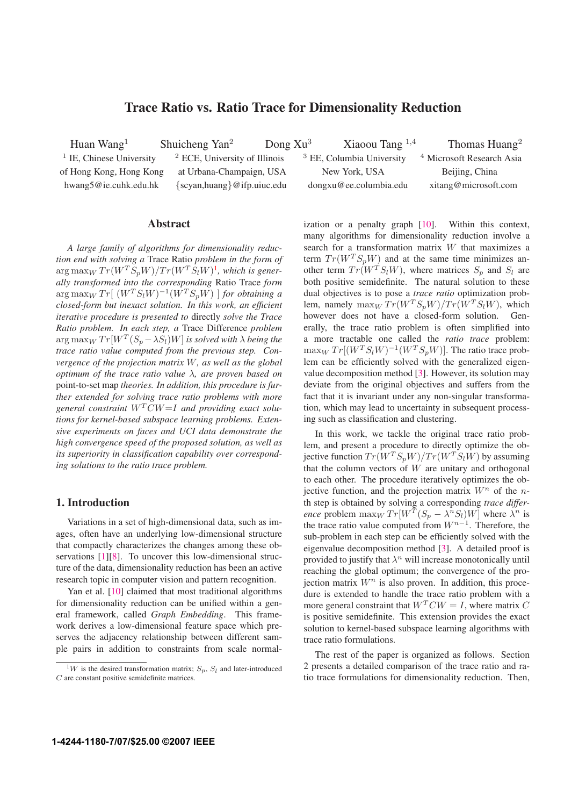# **Trace Ratio vs. Ratio Trace for Dimensionality Reduction**

Huan Wang<sup>1</sup> Shuicheng Yan<sup>2</sup> Dong Xu<sup>3</sup> Xiaoou Tang <sup>1,4</sup> Thomas Huang<sup>2</sup> <sup>1</sup> IE, Chinese University  $\frac{2}{3}$  ECE, University of Illinois  $\frac{3}{3}$  EE, Columbia University  $\frac{4}{3}$  Microsoft Research Asia of Hong Kong, Hong Kong at Urbana-Champaign, USA New York, USA Beijing, China hwang5@ie.cuhk.edu.hk {scyan,huang}@ifp.uiuc.edu dongxu@ee.columbia.edu xitang@microsoft.com

## **Abstract**

*A large family of algorithms for dimensionality reduction end with solving a* Trace Ratio *problem in the form of*  $\arg \max_W Tr(W^T S_p W)/Tr(W^T S_l W)^1$ , which is gener*ally transformed into the corresponding* Ratio Trace *form*  $\lim_{M \to \infty} \lim_{M \to \infty} Tr[(W^T S_l W)^{-1} (\hat{W}^T S_p W)]$  *for obtaining a closed-form but inexact solution. In this work, an efficient iterative procedure is presented to* directly *solve the Trace Ratio problem. In each step, a* Trace Difference *problem*  $\arg \max_W Tr[W^T(S_p - \lambda S_l)W]$  *is solved with*  $\lambda$  *being the trace ratio value computed from the previous step. Convergence of the projection matrix* W*, as well as the global optimum of the trace ratio value* λ*, are proven based on* point-to-set map *theories. In addition, this procedure is further extended for solving trace ratio problems with more general constraint* <sup>W</sup>*<sup>T</sup>* CW=<sup>I</sup> *and providing exact solutions for kernel-based subspace learning problems. Extensive experiments on faces and UCI data demonstrate the high convergence speed of the proposed solution, as well as its superiority in classification capability over corresponding solutions to the ratio trace problem.*

### **1. Introduction**

Variations in a set of high-dimensional data, such as images, often have an underlying low-dimensional structure that compactly characterizes the changes among these observations [1][8]. To uncover this low-dimensional structure of the data, dimensionality reduction has been an active research topic in computer vision and pattern recognition.

Yan et al. [10] claimed that most traditional algorithms for dimensionality reduction can be unified within a general framework, called *Graph Embedding*. This framework derives a low-dimensional feature space which preserves the adjacency relationship between different sample pairs in addition to constraints from scale normalization or a penalty graph [10]. Within this context, many algorithms for dimensionality reduction involve a search for a transformation matrix W that maximizes a term  $Tr(W^{T} S_{p}W)$  and at the same time minimizes another term  $Tr(W^T S_l W)$ , where matrices  $S_p$  and  $S_l$  are both positive semidefinite. The natural solution to these dual objectives is to pose a *trace ratio* optimization problem, namely  $\max_W Tr(W^T S_p W)/Tr(W^T S_l W)$ , which<br>however does not have a closed-form solution. Genhowever does not have a closed-form solution. erally, the trace ratio problem is often simplified into a more tractable one called the *ratio trace* problem:  $\max_W Tr[(W^T S_l W)^{-1}(W^T S_p W)].$  The ratio trace problem can be efficiently solved with the generalized eigenvalue decomposition method [3]. However, its solution may deviate from the original objectives and suffers from the fact that it is invariant under any non-singular transformation, which may lead to uncertainty in subsequent processing such as classification and clustering.

In this work, we tackle the original trace ratio problem, and present a procedure to directly optimize the objective function  $Tr(W^{T}S_{p}W)/Tr(W^{T}S_{l}W)$  by assuming that the column vectors of  $W$  are unitary and orthogonal to each other. The procedure iteratively optimizes the objective function, and the projection matrix  $W^n$  of the *n*th step is obtained by solving a corresponding *trace difference* problem  $\max_W Tr[W^T(S_p - \lambda^n S_l)W]$  where  $\lambda^n$  is the trace ratio value computed from W*<sup>n</sup>*−<sup>1</sup>. Therefore, the sub-problem in each step can be efficiently solved with the eigenvalue decomposition method [3]. A detailed proof is provided to justify that  $\lambda^n$  will increase monotonically until reaching the global optimum; the convergence of the projection matrix  $W<sup>n</sup>$  is also proven. In addition, this procedure is extended to handle the trace ratio problem with a more general constraint that  $W<sup>T</sup>CW = I$ , where matrix C is positive semidefinite. This extension provides the exact solution to kernel-based subspace learning algorithms with trace ratio formulations.

The rest of the paper is organized as follows. Section 2 presents a detailed comparison of the trace ratio and ratio trace formulations for dimensionality reduction. Then,

<sup>&</sup>lt;sup>1</sup>W is the desired transformation matrix;  $S_p$ ,  $S_l$  and later-introduced C are constant positive semidefinite matrices.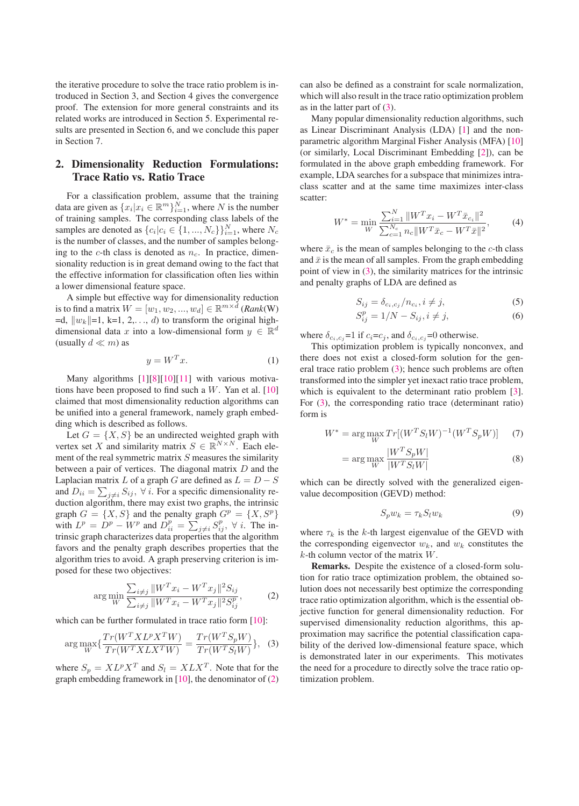the iterative procedure to solve the trace ratio problem is introduced in Section 3, and Section 4 gives the convergence proof. The extension for more general constraints and its related works are introduced in Section 5. Experimental results are presented in Section 6, and we conclude this paper in Section 7.

# **2. Dimensionality Reduction Formulations: Trace Ratio vs. Ratio Trace**

For a classification problem, assume that the training data are given as  $\{x_i | x_i \in \mathbb{R}^m\}_{i=1}^N$ , where N is the number of training samples. The corresponding class labels of the samples are denoted as  $\{c_i|c_i \in \{1, ..., N_c\}\}_{i=1}^N$ , where  $N_c$  is the number of classes and the number of samples belongis the number of classes, and the number of samples belonging to the  $c$ -th class is denoted as  $n_c$ . In practice, dimensionality reduction is in great demand owing to the fact that the effective information for classification often lies within a lower dimensional feature space.

A simple but effective way for dimensionality reduction is to find a matrix  $W = [w_1, w_2, ..., w_d] \in \mathbb{R}^{m \times d}$  (*Rank*(W)  $=d$ ,  $||w_k||=1$ ,  $k=1, 2, \ldots, d$ ) to transform the original highdimensional data x into a low-dimensional form  $y \in \mathbb{R}^d$ (usually  $d \ll m$ ) as

$$
y = W^T x.
$$
 (1)

Many algorithms [1][8][10][11] with various motivations have been proposed to find such a  $W$ . Yan et al. [10] claimed that most dimensionality reduction algorithms can be unified into a general framework, namely graph embedding which is described as follows.

Let  $G = \{X, S\}$  be an undirected weighted graph with vertex set X and similarity matrix  $S \in \mathbb{R}^{N \times N}$ . Each element of the real symmetric matrix  $S$  measures the similarity between a pair of vertices. The diagonal matrix D and the Laplacian matrix L of a graph G are defined as  $L = D - S$ and  $D_{ii} = \sum_{j \neq i} S_{ij}$ ,  $\forall i$ . For a specific dimensionality reduction algorithm there may exist two graphs, the intrinsic duction algorithm, there may exist two graphs, the intrinsic graph  $G = \{X, S\}$  and the penalty graph  $G^p = \{X, S^p\}$ with  $L^p = D^p - W^p$  and  $D_{ii}^p = \sum_{j \neq i} S_{ij}^p$ ,  $\forall i$ . The in-<br>trinsic graph characterizes data properties that the algorithm trinsic graph characterizes data properties that the algorithm favors and the penalty graph describes properties that the algorithm tries to avoid. A graph preserving criterion is imposed for these two objectives:

$$
\arg\min_{W} \frac{\sum_{i \neq j} ||W^T x_i - W^T x_j||^2 S_{ij}}{\sum_{i \neq j} ||W^T x_i - W^T x_j||^2 S_{ij}^p},
$$
 (2)

which can be further formulated in trace ratio form [10]:

$$
\arg\max_{W} \{ \frac{Tr(W^T X L^p X^T W)}{Tr(W^T X L X^T W)} = \frac{Tr(W^T S_p W)}{Tr(W^T S_l W)} \}, \quad (3)
$$

where  $S_p = X L^p X^T$  and  $S_l = X L X^T$ . Note that for the graph embedding framework in  $[10]$ , the denominator of  $(2)$  can also be defined as a constraint for scale normalization, which will also result in the trace ratio optimization problem as in the latter part of (3).

Many popular dimensionality reduction algorithms, such as Linear Discriminant Analysis (LDA) [1] and the nonparametric algorithm Marginal Fisher Analysis (MFA) [10] (or similarly, Local Discriminant Embedding [2]), can be formulated in the above graph embedding framework. For example, LDA searches for a subspace that minimizes intraclass scatter and at the same time maximizes inter-class scatter:

$$
W^* = \min_{W} \frac{\sum_{i=1}^{N} ||W^T x_i - W^T \bar{x}_{c_i}||^2}{\sum_{c=1}^{N_c} n_c ||W^T \bar{x}_c - W^T \bar{x}||^2},\tag{4}
$$

where  $\bar{x}_c$  is the mean of samples belonging to the *c*-th class and  $\bar{x}$  is the mean of all samples. From the graph embedding point of view in (3), the similarity matrices for the intrinsic and penalty graphs of LDA are defined as

$$
S_{ij} = \delta_{c_i, c_j}/n_{c_i}, i \neq j,
$$
\n<sup>(5)</sup>

$$
S_{ij}^p = 1/N - S_{ij}, i \neq j,
$$
 (6)

where  $\delta_{c_i, c_j} = 1$  if  $c_i = c_j$ , and  $\delta_{c_i, c_j} = 0$  otherwise.

This optimization problem is typically nonconvex, and there does not exist a closed-form solution for the general trace ratio problem (3); hence such problems are often transformed into the simpler yet inexact ratio trace problem, which is equivalent to the determinant ratio problem [3]. For (3), the corresponding ratio trace (determinant ratio) form is

$$
W^* = \arg\max_{W} Tr[(W^T S_l W)^{-1} (W^T S_p W)] \tag{7}
$$

$$
= \arg\max_{W} \frac{|W^T S_p W|}{|W^T S_l W|}
$$
\n(8)

which can be directly solved with the generalized eigenvalue decomposition (GEVD) method:

$$
S_p w_k = \tau_k S_l w_k \tag{9}
$$

where  $\tau_k$  is the k-th largest eigenvalue of the GEVD with the corresponding eigenvector  $w_k$ , and  $w_k$  constitutes the  $k$ -th column vector of the matrix  $W$ .

**Remarks.** Despite the existence of a closed-form solution for ratio trace optimization problem, the obtained solution does not necessarily best optimize the corresponding trace ratio optimization algorithm, which is the essential objective function for general dimensionality reduction. For supervised dimensionality reduction algorithms, this approximation may sacrifice the potential classification capability of the derived low-dimensional feature space, which is demonstrated later in our experiments. This motivates the need for a procedure to directly solve the trace ratio optimization problem.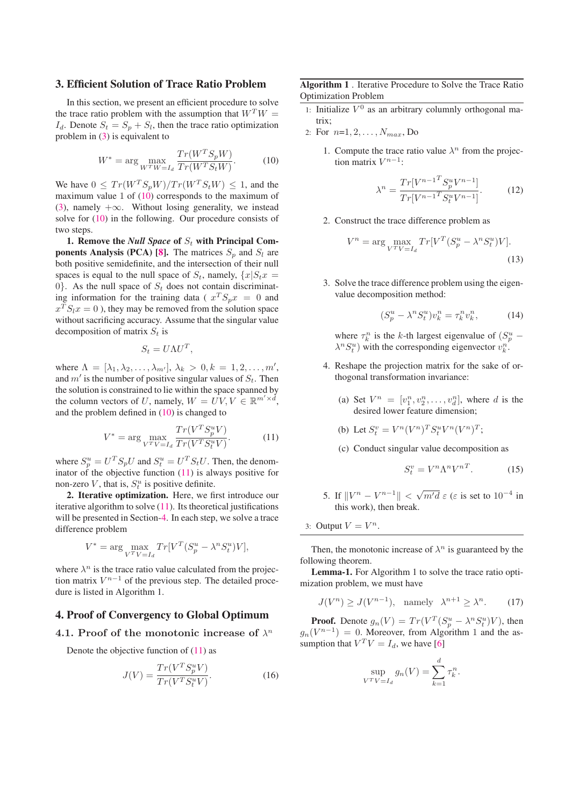### **3. Efficient Solution of Trace Ratio Problem**

In this section, we present an efficient procedure to solve the trace ratio problem with the assumption that  $W^TW =$  $I_d$ . Denote  $S_t = S_p + S_l$ , then the trace ratio optimization problem in (3) is equivalent to

$$
W^* = \arg\max_{W^T W = I_d} \frac{Tr(W^T S_p W)}{Tr(W^T S_t W)}.
$$
 (10)

We have  $0 \leq Tr(W^T S_n W)/Tr(W^T S_t W) \leq 1$ , and the maximum value 1 of (10) corresponds to the maximum of (3), namely  $+\infty$ . Without losing generality, we instead solve for (10) in the following. Our procedure consists of two steps.

**1. Remove the** *Null Space* **of** S*<sup>t</sup>* **with Principal Components Analysis (PCA) [8].** The matrices  $S_p$  and  $S_l$  are both positive semidefinite, and the intersection of their null spaces is equal to the null space of  $S_t$ , namely,  $\{x | S_t x =$ 0}. As the null space of  $S_t$  does not contain discriminating information for the training data ( $x^T S_p x = 0$  and  $x^T S_l x = 0$ ), they may be removed from the solution space without sacrificing accuracy. Assume that the singular value decomposition of matrix S*<sup>t</sup>* is

$$
S_t = U\Lambda U^T,
$$

where  $\Lambda = [\lambda_1, \lambda_2, \ldots, \lambda_{m'}], \lambda_k > 0, k = 1, 2, \ldots, m'$ ,<br>and m' is the number of positive singular values of S. Then and  $m'$  is the number of positive singular values of  $S_t$ . Then the solution is constrained to lie within the space spanned by the column vectors of U, namely,  $W = \dot{UV}, V \in \mathbb{R}^{m' \times d}$ ,<br>and the problem defined in (10) is changed to and the problem defined in (10) is changed to

$$
V^* = \arg\max_{V^T V = I_d} \frac{Tr(V^T S_p^u V)}{Tr(V^T S_t^u V)}.
$$
 (11)

where  $S_p^u = U^T S_p U$  and  $S_t^u = U^T S_t U$ . Then, the denom-<br>instar of the objective function (11) is always positive for inator of the objective function  $(11)$  is always positive for non-zero V, that is,  $S_t^u$  is positive definite.

**2. Iterative optimization.** Here, we first introduce our iterative algorithm to solve  $(11)$ . Its theoretical justifications will be presented in Section-4. In each step, we solve a trace difference problem

$$
V^* = \arg\max_{V^T V = I_d} Tr[V^T (S_p^u - \lambda^n S_t^u)V],
$$

where  $\lambda^n$  is the trace ratio value calculated from the projection matrix  $V^{n-1}$  of the previous step. The detailed procedure is listed in Algorithm 1.

### **4. Proof of Convergency to Global Optimum**

#### **4.1. Proof of the monotonic increase of** λ*<sup>n</sup>*

Denote the objective function of  $(11)$  as

$$
J(V) = \frac{Tr(V^T S_p^u V)}{Tr(V^T S_t^u V)}.
$$
\n(16)

## **Algorithm 1** . Iterative Procedure to Solve the Trace Ratio Optimization Problem

- 1: Initialize  $V^0$  as an arbitrary columnly orthogonal matrix;
- 2: For <sup>n</sup>=1, 2,...,N*max*, Do
	- 1. Compute the trace ratio value  $\lambda^n$  from the projection matrix  $V^{n-1}$ :

$$
\lambda^{n} = \frac{Tr[V^{n-1}S_{p}^{u}V^{n-1}]}{Tr[V^{n-1}S_{t}^{u}V^{n-1}]}.
$$
 (12)

2. Construct the trace difference problem as

$$
V^n = \arg\max_{V^T V = I_d} Tr[V^T (S_p^u - \lambda^n S_t^u) V].
$$
\n(13)

3. Solve the trace difference problem using the eigenvalue decomposition method:

$$
(S_p^u - \lambda^n S_t^u)v_k^n = \tau_k^n v_k^n, \qquad (14)
$$

where  $\tau_k^n$  is the k-th largest eigenvalue of  $(S_p^u - \lambda^n S^u)$  with the corresponding eigenvector  $\theta_p^n$  $\lambda^n S_t^u$ ) with the corresponding eigenvector  $v_k^n$ .

- 4. Reshape the projection matrix for the sake of orthogonal transformation invariance:
	- (a) Set  $V^n = [v_1^n, v_2^n, \dots, v_d^n]$ , where d is the desired lower feature dimension: desired lower feature dimension;
	- (b) Let  $S_t^v = V^n (V^n)^T S_t^u V^n (V^n)^T$ ;
	- (c) Conduct singular value decomposition as

$$
S_t^v = V^n \Lambda^n V^{nT}.
$$
 (15)

- 5. If  $||V^n V^{n-1}|| < \sqrt{m'd} \varepsilon$  ( $\varepsilon$  is set to 10<sup>-4</sup> in this work) then break this work), then break.
- 3: Output  $V = V^n$ .

Then, the monotonic increase of  $\lambda^n$  is guaranteed by the following theorem.

**Lemma-1.** For Algorithm 1 to solve the trace ratio optimization problem, we must have

$$
J(V^n) \ge J(V^{n-1}), \quad \text{namely} \quad \lambda^{n+1} \ge \lambda^n. \tag{17}
$$

**Proof.** Denote  $g_n(V) = Tr(V^T(S_p^u - \lambda^n S_t^u)V)$ , then  $(V^{n-1}) = 0$ . Moreover, from Algorithm 1 and the as $g_n(V^{n-1})=0$ . Moreover, from Algorithm 1 and the assumption that  $V^T V = I_d$ , we have [6]

$$
\sup_{V^T V = I_d} g_n(V) = \sum_{k=1}^d \tau_k^n.
$$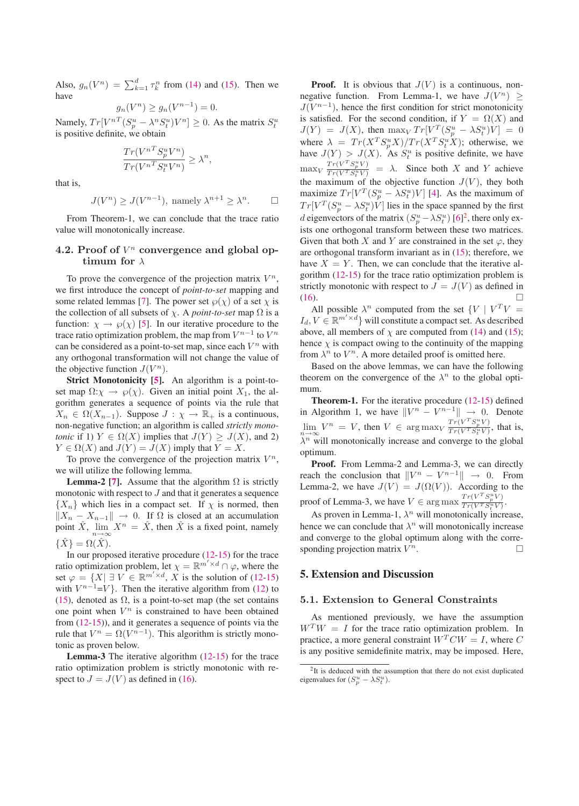Also,  $g_n(V^n) = \sum_{k=1}^d \tau_k^n$  from (14) and (15). Then we have

$$
g_n(V^n) \ge g_n(V^{n-1}) = 0.
$$

Namely,  $Tr[V^{nT}(S_p^u - \lambda^n S_t^u)V^n] \ge 0$ . As the matrix  $S_t^u$ <br>is positive definite we obtain is positive definite, we obtain

$$
\frac{Tr(V^{nT}S_p^uV^n)}{Tr(V^{nT}S_t^uV^n)} \geq \lambda^n,
$$

that is,

$$
J(V^n) \ge J(V^{n-1}),
$$
 namely  $\lambda^{n+1} \ge \lambda^n$ .  $\square$ 

From Theorem-1, we can conclude that the trace ratio value will monotonically increase.

### 4.2. Proof of  $V^n$  convergence and global op**timum for** λ

To prove the convergence of the projection matrix  $V^n$ , we first introduce the concept of *point-to-set* mapping and some related lemmas [7]. The power set  $\wp(\chi)$  of a set  $\chi$  is the collection of all subsets of  $\chi$ . A *point-to-set* map  $\Omega$  is a function:  $\chi \rightarrow \varphi(\chi)$  [5]. In our iterative procedure to the trace ratio optimization problem, the map from  $V^{n-1}$  to  $V^n$ can be considered as a point-to-set map, since each  $V^n$  with any orthogonal transformation will not change the value of the objective function  $J(V^n)$ .

**Strict Monotonicity [5].** An algorithm is a point-toset map  $\Omega: \chi \to \wp(\chi)$ . Given an initial point  $X_1$ , the algorithm generates a sequence of points via the rule that  $X_n \in \Omega(X_{n-1})$ . Suppose  $J : \chi \to \mathbb{R}_+$  is a continuous, non-negative function; an algorithm is called *strictly monotonic* if 1)  $Y \in \Omega(X)$  implies that  $J(Y) \geq J(X)$ , and 2)  $Y \in \Omega(X)$  and  $J(Y) = J(X)$  imply that  $Y = X$ .

To prove the convergence of the projection matrix  $V^n$ , we will utilize the following lemma.

**Lemma-2 [7].** Assume that the algorithm  $\Omega$  is strictly monotonic with respect to  $J$  and that it generates a sequence  ${X_n}$  which lies in a compact set. If  $\chi$  is normed, then  $||X_n - X_{n-1}||$  $\rightarrow$  0. If  $\Omega$  is closed at an accumulation<br>  $\hat{X}^n - \hat{X}$  then  $\hat{X}$  is a fixed point namely point  $\hat{X}$ ,  $\lim_{n \to \infty} X^n = \hat{X}$ , then  $\hat{X}$  is a fixed point, namely  $\{\hat{X}\}=\Omega(\hat{X}).$ 

In our proposed iterative procedure (12-15) for the trace ratio optimization problem, let  $\chi = \mathbb{R}^{m' \times d} \cap \varphi$ , where the set  $\varphi = \{X \mid X \in \mathbb{R}^{m' \times d} \mid X \text{ is the solution of (12-15)}\}$ set  $\varphi = \{X | \exists V \in \mathbb{R}^{m' \times d}, X \text{ is the solution of (12-15)}\}$ <br>with  $V^{n-1} - V$ . Then the iterative algorithm from (12) to with  $V^{n-1}=V$ }. Then the iterative algorithm from (12) to (15), denoted as  $\Omega$ , is a point-to-set map (the set contains one point when  $V^n$  is constrained to have been obtained from (12-15)), and it generates a sequence of points via the rule that  $V^n = \Omega(V^{n-1})$ . This algorithm is strictly monotonic as proven below.

**Lemma-3** The iterative algorithm (12-15) for the trace ratio optimization problem is strictly monotonic with respect to  $J = J(V)$  as defined in (16).

**Proof.** It is obvious that  $J(V)$  is a continuous, nonnegative function. From Lemma-1, we have  $J(V^n) \geq$  $J(V^{n-1})$ , hence the first condition for strict monotonicity is satisfied. For the second condition, if  $Y = \Omega(X)$  and  $J(Y) = J(X)$ , then  $\max_{Y} Tr[V^{T}(S_{p}^{u} - \lambda S_{u}^{u})\dot{V}] = 0$ <br>where  $\sum_{Y} (Y^{T} C_{u}^{u} V) / T_{v}(Y^{T} C_{u}^{u} V)$ , etherwise we where  $\lambda = Tr(X^T S_p^u X)/Tr(X^T S_t^u X)$ ; otherwise, we have  $I(Y) > I(X)$ . As  $S_u^u$  is positive definite, we have have  $J(Y) > J(X)$ . As  $S_t^u$  is positive definite, we have  $\max_{V}$  $Tr(V^T S_p^u V)$  $\frac{T r (V T g_{\mu} V)}{T r (V T g_{\mu} V)} = \lambda$ . Since both X and Y achieve the maximum of the objective function  $J(V)$ , they both maximize  $Tr[V^T(S_p^u - \lambda S_t^u)V]$  [4]. As the maximum of  $Tr[V^T(S_u^u - \lambda S_t^u)V]$  [4]. As the maximum of  $Tr[V^T(S^u_p - \lambda S^u_p)\hat{V}]$  lies in the space spanned by the first decomposition of the matrix  $(S^u_{p-1}, S^u_{p-1})$  for each or d eigenvectors of the matrix  $(S_p^u - \lambda S_t^u)$  [6]<sup>2</sup>, there only ex-<br>ists one orthogonal transform between these two matrices ists one orthogonal transform between these two matrices. Given that both X and Y are constrained in the set  $\varphi$ , they are orthogonal transform invariant as in (15); therefore, we have  $X = Y$ . Then, we can conclude that the iterative algorithm (12-15) for the trace ratio optimization problem is strictly monotonic with respect to  $J = J(V)$  as defined in (16).  $(16)$ .

All possible  $\lambda^n$  computed from the set  $\{V \mid V^T V =$  $I_d, V \in \mathbb{R}^{m' \times d}$  will constitute a compact set. As described above, all members of  $\chi$  are computed from (14) and (15); hence  $\chi$  is compact owing to the continuity of the mapping from  $\lambda^n$  to  $V^n$ . A more detailed proof is omitted here.

Based on the above lemmas, we can have the following theorem on the convergence of the  $\lambda^n$  to the global optimum.

**Theorem-1.** For the iterative procedure (12-15) defined in Algorithm 1, we have  $||V^n - V^{n-1}|| \to 0$ . Denote  $\lim_{n \to \infty} V^n = V$ , then  $V \in \arg \max_{V} \frac{T r (V^T S_p^u V)}{T r (V^T S_u^u V)}$  $\frac{Tr(V - S_p V)}{Tr(V^T S_t^u V)}$ , that is,  $\lambda^n$  will monotonically increase and converge to the global optimum.

**Proof.** From Lemma-2 and Lemma-3, we can directly reach the conclusion that  $||V^n - V^{n-1}||$  $\rightarrow$  0. From Lemma-2, we have  $J(V) = J(\Omega(V))$ . According to the proof of Lemma-3, we have  $V \in \arg \max_{Tr(V^T S^u_F V)} \frac{T r(V^T S^u_F V)}{T r(V^T S^u_F V)}$  $\frac{Tr(V D_p V)}{Tr(V^T S_t^u V)}$ .

As proven in Lemma-1,  $\lambda^n$  will monotonically increase, hence we can conclude that  $\lambda^n$  will monotonically increase and converge to the global optimum along with the corresponding projection matrix  $V^n$ .

### **5. Extension and Discussion**

#### **5.1. Extension to General Constraints**

As mentioned previously, we have the assumption  $W<sup>T</sup>W = I$  for the trace ratio optimization problem. In practice, a more general constraint  $W^T C W = I$ , where C is any positive semidefinite matrix, may be imposed. Here,

<sup>&</sup>lt;sup>2</sup>It is deduced with the assumption that there do not exist duplicated eigenvalues for  $(S_p^u - \lambda S_t^u)$ .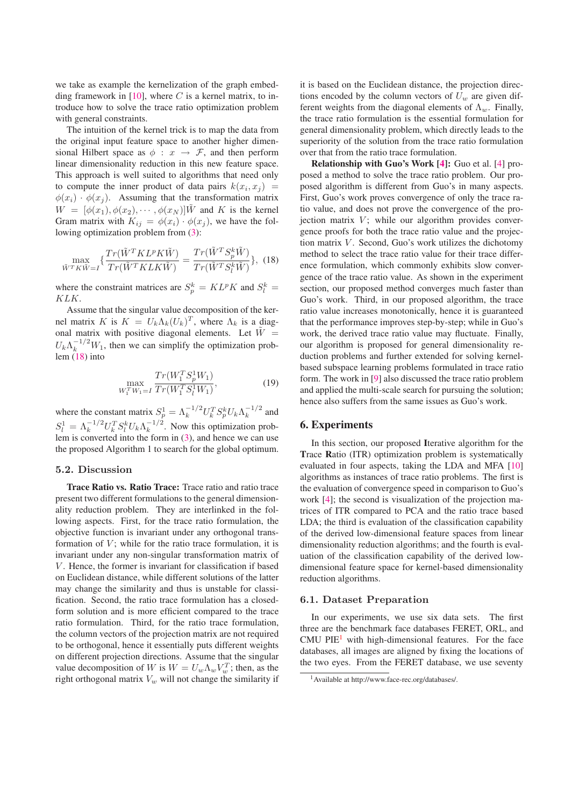we take as example the kernelization of the graph embedding framework in  $[10]$ , where C is a kernel matrix, to introduce how to solve the trace ratio optimization problem with general constraints.

The intuition of the kernel trick is to map the data from the original input feature space to another higher dimensional Hilbert space as  $\phi : x \rightarrow \mathcal{F}$ , and then perform linear dimensionality reduction in this new feature space. This approach is well suited to algorithms that need only to compute the inner product of data pairs  $k(x_i, x_j)$  =  $\phi(x_i) \cdot \phi(x_i)$ . Assuming that the transformation matrix  $W = [\phi(x_1), \phi(x_2), \cdots, \phi(x_N)]$  W and K is the kernel Gram matrix with  $K_{ij} = \phi(x_i) \cdot \phi(x_j)$ , we have the following optimization problem from (3):

$$
\max_{\tilde{W}^T K \tilde{W}=I} \left\{ \frac{Tr(\tilde{W}^T K L^p K \tilde{W})}{Tr(\tilde{W}^T K L K \tilde{W})} = \frac{Tr(\tilde{W}^T S_p^k \tilde{W})}{Tr(\tilde{W}^T S_l^k \tilde{W})} \right\}, (18)
$$

where the constraint matrices are  $S_p^k = KL^p K$  and  $S_l^k = KL^r K$ KLK.

Assume that the singular value decomposition of the kernel matrix K is  $K = U_k \Lambda_k (U_k)^T$ , where  $\Lambda_k$  is a diagonal matrix with positive diagonal elements. Let  $\tilde{W} =$  $U_k \Lambda_k^{-1/2} W_1$ , then we can simplify the optimization problem (18) into

$$
\max_{W_1^T W_1 = I} \frac{Tr(W_1^T S_p^1 W_1)}{Tr(W_1^T S_l^1 W_1)},
$$
\n(19)

where the constant matrix  $S_p^1 = \Lambda_k^{-1/2} U_k^T S_p^k U_k \Lambda_k^{-1/2}$  and  $S_{p+1}^1 = \frac{1}{2} \Lambda_k^{-1/2} V_k^T S_p^k U_k \Lambda_k^{-1/2}$  $S_l^1 = \Lambda_k^{-1/2} U_k^T S_l^k U_k \Lambda_k^{-1/2}$ . Now this optimization prob-<br>lem is converted into the form in (3), and hence we can use lem is converted into the form in (3), and hence we can use the proposed Algorithm 1 to search for the global optimum.

#### **5.2. Discussion**

**Trace Ratio vs. Ratio Trace:** Trace ratio and ratio trace present two different formulations to the general dimensionality reduction problem. They are interlinked in the following aspects. First, for the trace ratio formulation, the objective function is invariant under any orthogonal transformation of  $V$ ; while for the ratio trace formulation, it is invariant under any non-singular transformation matrix of  $V$ . Hence, the former is invariant for classification if based on Euclidean distance, while different solutions of the latter may change the similarity and thus is unstable for classification. Second, the ratio trace formulation has a closedform solution and is more efficient compared to the trace ratio formulation. Third, for the ratio trace formulation, the column vectors of the projection matrix are not required to be orthogonal, hence it essentially puts different weights on different projection directions. Assume that the singular value decomposition of W is  $W = U_w \Lambda_w V_w^T$ ; then, as the right orthogonal matrix V will not change the similarity if right orthogonal matrix  $V_w$  will not change the similarity if

it is based on the Euclidean distance, the projection directions encoded by the column vectors of  $U_w$  are given different weights from the diagonal elements of  $\Lambda_w$ . Finally, the trace ratio formulation is the essential formulation for general dimensionality problem, which directly leads to the superiority of the solution from the trace ratio formulation over that from the ratio trace formulation.

**Relationship with Guo's Work [4]:** Guo et al. [4] proposed a method to solve the trace ratio problem. Our proposed algorithm is different from Guo's in many aspects. First, Guo's work proves convergence of only the trace ratio value, and does not prove the convergence of the projection matrix  $V$ ; while our algorithm provides convergence proofs for both the trace ratio value and the projection matrix  $V$ . Second, Guo's work utilizes the dichotomy method to select the trace ratio value for their trace difference formulation, which commonly exhibits slow convergence of the trace ratio value. As shown in the experiment section, our proposed method converges much faster than Guo's work. Third, in our proposed algorithm, the trace ratio value increases monotonically, hence it is guaranteed that the performance improves step-by-step; while in Guo's work, the derived trace ratio value may fluctuate. Finally, our algorithm is proposed for general dimensionality reduction problems and further extended for solving kernelbased subspace learning problems formulated in trace ratio form. The work in [9] also discussed the trace ratio problem and applied the multi-scale search for pursuing the solution; hence also suffers from the same issues as Guo's work.

#### **6. Experiments**

In this section, our proposed **I**terative algorithm for the **T**race **R**atio (ITR) optimization problem is systematically evaluated in four aspects, taking the LDA and MFA [10] algorithms as instances of trace ratio problems. The first is the evaluation of convergence speed in comparison to Guo's work [4]; the second is visualization of the projection matrices of ITR compared to PCA and the ratio trace based LDA; the third is evaluation of the classification capability of the derived low-dimensional feature spaces from linear dimensionality reduction algorithms; and the fourth is evaluation of the classification capability of the derived lowdimensional feature space for kernel-based dimensionality reduction algorithms.

#### **6.1. Dataset Preparation**

In our experiments, we use six data sets. The first three are the benchmark face databases FERET, ORL, and  $CMU$  PIE<sup>1</sup> with high-dimensional features. For the face databases, all images are aligned by fixing the locations of the two eyes. From the FERET database, we use seventy

<sup>1</sup>Available at http://www.face-rec.org/databases/.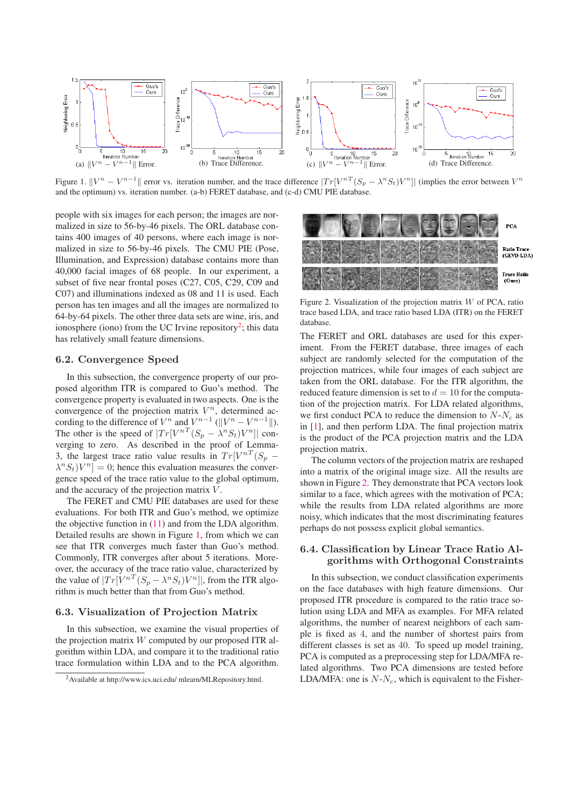

Figure 1.  $||V^n - V^{n-1}||$  error vs. iteration number, and the trace difference  $|Tr[V^{n}T(S_p - \lambda^n S_t)V^n||$  (implies the error between  $V^n$ and the optimum) vs. iteration number. (a-b) FERET database, and (c-d) CMU PIE database.

people with six images for each person; the images are normalized in size to 56-by-46 pixels. The ORL database contains 400 images of 40 persons, where each image is normalized in size to 56-by-46 pixels. The CMU PIE (Pose, Illumination, and Expression) database contains more than 40,000 facial images of 68 people. In our experiment, a subset of five near frontal poses (C27, C05, C29, C09 and C07) and illuminations indexed as 08 and 11 is used. Each person has ten images and all the images are normalized to 64-by-64 pixels. The other three data sets are wine, iris, and ionosphere (iono) from the UC Irvine repository<sup>2</sup>; this data has relatively small feature dimensions.

### **6.2. Convergence Speed**

In this subsection, the convergence property of our proposed algorithm ITR is compared to Guo's method. The convergence property is evaluated in two aspects. One is the convergence of the projection matrix  $V^n$ , determined according to the difference of  $V^n$  and  $V^{n-1}$  ( $||V^n - V^{n-1}||$ ). The other is the speed of  $|Tr[V^{nT}(S_p - \lambda^n S_t)V^n]|$  converging to zero. As described in the proof of Lemma-3, the largest trace ratio value results in  $Tr[V^{nT}(S_p \lambda^n S_t$ ) $V^n$ ] = 0; hence this evaluation measures the convergence speed of the trace ratio value to the global optimum, and the accuracy of the projection matrix V .

The FERET and CMU PIE databases are used for these evaluations. For both ITR and Guo's method, we optimize the objective function in (11) and from the LDA algorithm. Detailed results are shown in Figure 1, from which we can see that ITR converges much faster than Guo's method. Commonly, ITR converges after about 5 iterations. Moreover, the accuracy of the trace ratio value, characterized by the value of  $|Tr[V^{nT}(S_p - \lambda^n S_t)V^n]|$ , from the ITR algorithm is much better than that from Guo's method.

### **6.3. Visualization of Projection Matrix**

In this subsection, we examine the visual properties of the projection matrix W computed by our proposed ITR algorithm within LDA, and compare it to the traditional ratio trace formulation within LDA and to the PCA algorithm.



Figure 2. Visualization of the projection matrix  $W$  of PCA, ratio trace based LDA, and trace ratio based LDA (ITR) on the FERET database.

The FERET and ORL databases are used for this experiment. From the FERET database, three images of each subject are randomly selected for the computation of the projection matrices, while four images of each subject are taken from the ORL database. For the ITR algorithm, the reduced feature dimension is set to  $d = 10$  for the computation of the projection matrix. For LDA related algorithms, we first conduct PCA to reduce the dimension to  $N-N_c$  as in [1], and then perform LDA. The final projection matrix is the product of the PCA projection matrix and the LDA projection matrix.

The column vectors of the projection matrix are reshaped into a matrix of the original image size. All the results are shown in Figure 2. They demonstrate that PCA vectors look similar to a face, which agrees with the motivation of PCA; while the results from LDA related algorithms are more noisy, which indicates that the most discriminating features perhaps do not possess explicit global semantics.

## **6.4. Classification by Linear Trace Ratio Algorithms with Orthogonal Constraints**

In this subsection, we conduct classification experiments on the face databases with high feature dimensions. Our proposed ITR procedure is compared to the ratio trace solution using LDA and MFA as examples. For MFA related algorithms, the number of nearest neighbors of each sample is fixed as 4, and the number of shortest pairs from different classes is set as 40. To speed up model training, PCA is computed as a preprocessing step for LDA/MFA related algorithms. Two PCA dimensions are tested before LDA/MFA: one is  $N-N_c$ , which is equivalent to the Fisher-

<sup>2</sup>Available at http://www.ics.uci.edu/ mlearn/MLRepository.html.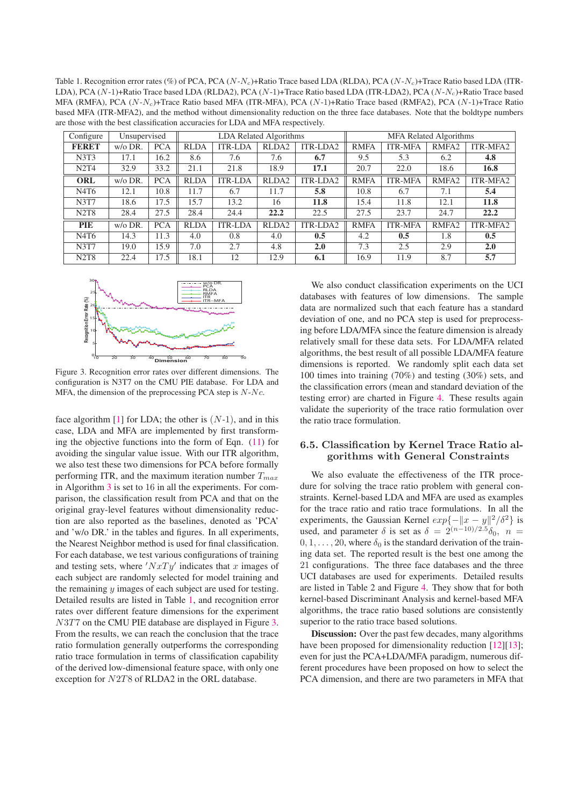Table 1. Recognition error rates (%) of PCA, PCA (N-N*c*)+Ratio Trace based LDA (RLDA), PCA (N-N*c*)+Trace Ratio based LDA (ITR-LDA), PCA (N-1)+Ratio Trace based LDA (RLDA2), PCA (N-1)+Trace Ratio based LDA (ITR-LDA2), PCA (N-N*c*)+Ratio Trace based MFA (RMFA), PCA (N-N*c*)+Trace Ratio based MFA (ITR-MFA), PCA (N-1)+Ratio Trace based (RMFA2), PCA (N-1)+Trace Ratio based MFA (ITR-MFA2), and the method without dimensionality reduction on the three face databases. Note that the boldtype numbers are those with the best classification accuracies for LDA and MFA respectively.

| Configure                     | Unsupervised |            |             |                | LDA Related Algorithms |                 | <b>MFA Related Algorithms</b> |                |                   |          |
|-------------------------------|--------------|------------|-------------|----------------|------------------------|-----------------|-------------------------------|----------------|-------------------|----------|
| <b>FERET</b>                  | $w/o$ DR.    | <b>PCA</b> | <b>RLDA</b> | <b>ITR-LDA</b> | RLDA <sub>2</sub>      | ITR-LDA2        | <b>RMFA</b>                   | <b>ITR-MFA</b> | RMFA <sub>2</sub> | ITR-MFA2 |
| N3T3                          | 17.1         | 16.2       | 8.6         | 7.6            | 7.6                    | 6.7             | 9.5                           | 5.3            | 6.2               | 4.8      |
| N2T4                          | 32.9         | 33.2       | 21.1        | 21.8           | 18.9                   | 17.1            | 20.7                          | 22.0           | 18.6              | 16.8     |
| <b>ORL</b>                    | $w/o$ DR.    | <b>PCA</b> | <b>RLDA</b> | <b>ITR-LDA</b> | RLDA <sub>2</sub>      | <b>ITR-LDA2</b> | <b>RMFA</b>                   | <b>ITR-MFA</b> | RMFA <sub>2</sub> | ITR-MFA2 |
| N4T6                          | 12.1         | 10.8       | 11.7        | 6.7            | 11.7                   | 5.8             | 10.8                          | 6.7            | 7.1               | 5.4      |
| <b>N3T7</b>                   | 18.6         | 17.5       | 15.7        | 13.2           | 16                     | 11.8            | 15.4                          | 11.8           | 12.1              | 11.8     |
| N <sub>2</sub> T <sub>8</sub> | 28.4         | 27.5       | 28.4        | 24.4           | 22.2                   | 22.5            | 27.5                          | 23.7           | 24.7              | 22.2     |
| <b>PIE</b>                    | $w/o$ DR.    | <b>PCA</b> | <b>RLDA</b> | <b>ITR-LDA</b> | RLDA <sub>2</sub>      | <b>ITR-LDA2</b> | <b>RMFA</b>                   | <b>ITR-MFA</b> | RMFA <sub>2</sub> | ITR-MFA2 |
| N <sub>4</sub> T <sub>6</sub> | 14.3         | 11.3       | 4.0         | 0.8            | 4.0                    | 0.5             | 4.2                           | 0.5            | 1.8               | 0.5      |
| <b>N3T7</b>                   | 19.0         | 15.9       | 7.0         | 2.7            | 4.8                    | 2.0             | 7.3                           | 2.5            | 2.9               | 2.0      |
| N <sub>2</sub> T <sub>8</sub> | 22.4         | 17.5       | 18.1        | 12             | 12.9                   | 6.1             | 16.9                          | 11.9           | 8.7               | 5.7      |



Figure 3. Recognition error rates over different dimensions. The configuration is N3T7 on the CMU PIE database. For LDA and MFA, the dimension of the preprocessing PCA step is  $N-<sub>c</sub>$ .

face algorithm  $[1]$  for LDA; the other is  $(N-1)$ , and in this case, LDA and MFA are implemented by first transforming the objective functions into the form of Eqn. (11) for avoiding the singular value issue. With our ITR algorithm, we also test these two dimensions for PCA before formally performing ITR, and the maximum iteration number T*max* in Algorithm <sup>3</sup> is set to 16 in all the experiments. For comparison, the classification result from PCA and that on the original gray-level features without dimensionality reduction are also reported as the baselines, denoted as 'PCA' and 'w/o DR.' in the tables and figures. In all experiments, the Nearest Neighbor method is used for final classification. For each database, we test various configurations of training and testing sets, where  $'NxTy'$  indicates that x images of each subject are randomly selected for model training and the remaining  $y$  images of each subject are used for testing. Detailed results are listed in Table 1, and recognition error rates over different feature dimensions for the experiment N3T7 on the CMU PIE database are displayed in Figure 3. From the results, we can reach the conclusion that the trace ratio formulation generally outperforms the corresponding ratio trace formulation in terms of classification capability of the derived low-dimensional feature space, with only one exception for <sup>N</sup>2T8 of RLDA2 in the ORL database.

We also conduct classification experiments on the UCI databases with features of low dimensions. The sample data are normalized such that each feature has a standard deviation of one, and no PCA step is used for preprocessing before LDA/MFA since the feature dimension is already relatively small for these data sets. For LDA/MFA related algorithms, the best result of all possible LDA/MFA feature dimensions is reported. We randomly split each data set 100 times into training (70%) and testing (30%) sets, and the classification errors (mean and standard deviation of the testing error) are charted in Figure 4. These results again validate the superiority of the trace ratio formulation over the ratio trace formulation.

### **6.5. Classification by Kernel Trace Ratio algorithms with General Constraints**

We also evaluate the effectiveness of the ITR procedure for solving the trace ratio problem with general constraints. Kernel-based LDA and MFA are used as examples for the trace ratio and ratio trace formulations. In all the experiments, the Gaussian Kernel  $exp{-||x - y||^2/\delta^2}$  is used, and parameter  $\delta$  is set as  $\delta = 2^{(n-10)/2.5} \delta_0$ ,  $n =$  $0, 1, \ldots, 20$ , where  $\delta_0$  is the standard derivation of the training data set. The reported result is the best one among the 21 configurations. The three face databases and the three UCI databases are used for experiments. Detailed results are listed in Table 2 and Figure 4. They show that for both kernel-based Discriminant Analysis and kernel-based MFA algorithms, the trace ratio based solutions are consistently superior to the ratio trace based solutions.

**Discussion:** Over the past few decades, many algorithms have been proposed for dimensionality reduction [12][13]; even for just the PCA+LDA/MFA paradigm, numerous different procedures have been proposed on how to select the PCA dimension, and there are two parameters in MFA that